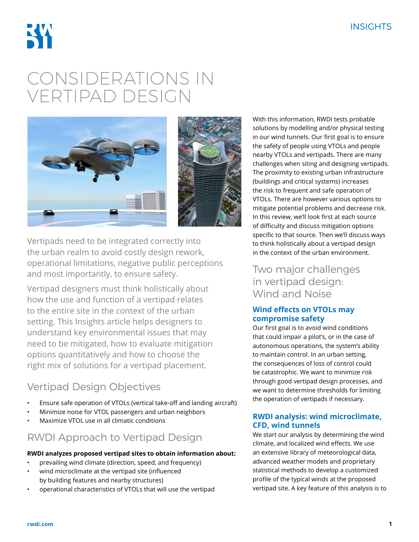

# CONSIDERATIONS IN VERTIPAD DESIGN



Vertipads need to be integrated correctly into the urban realm to avoid costly design rework, operational limitations, negative public perceptions and most importantly, to ensure safety.

Vertipad designers must think holistically about how the use and function of a vertipad relates to the entire site in the context of the urban setting. This Insights article helps designers to understand key environmental issues that may need to be mitigated, how to evaluate mitigation options quantitatively and how to choose the right mix of solutions for a vertipad placement.

# Vertipad Design Objectives

- Ensure safe operation of VTOLs (vertical take-off and landing aircraft)
- Minimize noise for VTOL passengers and urban neighbors
- Maximize VTOL use in all climatic conditions

# RWDI Approach to Vertipad Design

## **RWDI analyzes proposed vertipad sites to obtain information about:**

- prevailing wind climate (direction, speed, and frequency)
- wind microclimate at the vertipad site (influenced by building features and nearby structures)
- operational characteristics of VTOLs that will use the vertipad

With this information, RWDI tests probable solutions by modelling and/or physical testing in our wind tunnels. Our first goal is to ensure the safety of people using VTOLs and people nearby VTOLs and vertipads. There are many challenges when siting and designing vertipads. The proximity to existing urban infrastructure (buildings and critical systems) increases the risk to frequent and safe operation of VTOLs. There are however various options to mitigate potential problems and decrease risk. In this review, we'll look first at each source of difficulty and discuss mitigation options specific to that source. Then we'll discuss ways to think holistically about a vertipad design in the context of the urban environment.

Two major challenges in vertipad design: Wind and Noise

## **Wind effects on VTOLs may compromise safety**

Our first goal is to avoid wind conditions that could impair a pilot's, or in the case of autonomous operations, the system's ability to maintain control. In an urban setting, the consequences of loss of control could be catastrophic. We want to minimize risk through good vertipad design processes, and we want to determine thresholds for limiting the operation of vertipads if necessary.

## **RWDI analysis: wind microclimate, CFD, wind tunnels**

We start our analysis by determining the wind climate, and localized wind effects. We use an extensive library of meteorological data, advanced weather models and proprietary statistical methods to develop a customized profile of the typical winds at the proposed vertipad site. A key feature of this analysis is to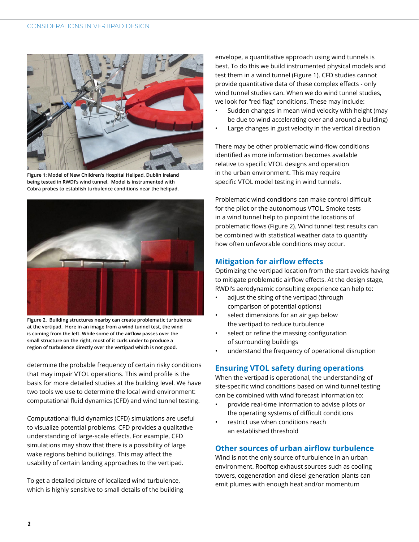

**Figure 1: Model of New Children's Hospital Helipad, Dublin Ireland being tested in RWDI's wind tunnel. Model is instrumented with Cobra probes to establish turbulence conditions near the helipad.**



**Figure 2. Building structures nearby can create problematic turbulence at the vertipad. Here in an image from a wind tunnel test, the wind is coming from the left. While some of the airflow passes over the small structure on the right, most of it curls under to produce a region of turbulence directly over the vertipad which is not good.** 

determine the probable frequency of certain risky conditions that may impair VTOL operations. This wind profile is the basis for more detailed studies at the building level. We have two tools we use to determine the local wind environment: computational fluid dynamics (CFD) and wind tunnel testing.

Computational fluid dynamics (CFD) simulations are useful to visualize potential problems. CFD provides a qualitative understanding of large-scale effects. For example, CFD simulations may show that there is a possibility of large wake regions behind buildings. This may affect the usability of certain landing approaches to the vertipad.

To get a detailed picture of localized wind turbulence, which is highly sensitive to small details of the building envelope, a quantitative approach using wind tunnels is best. To do this we build instrumented physical models and test them in a wind tunnel (Figure 1). CFD studies cannot provide quantitative data of these complex effects - only wind tunnel studies can. When we do wind tunnel studies, we look for "red flag" conditions. These may include:

- Sudden changes in mean wind velocity with height (may be due to wind accelerating over and around a building)
- Large changes in gust velocity in the vertical direction

There may be other problematic wind-flow conditions identified as more information becomes available relative to specific VTOL designs and operation in the urban environment. This may require specific VTOL model testing in wind tunnels.

Problematic wind conditions can make control difficult for the pilot or the autonomous VTOL. Smoke tests in a wind tunnel help to pinpoint the locations of problematic flows (Figure 2). Wind tunnel test results can be combined with statistical weather data to quantify how often unfavorable conditions may occur.

## **Mitigation for airflow effects**

Optimizing the vertipad location from the start avoids having to mitigate problematic airflow effects. At the design stage, RWDI's aerodynamic consulting experience can help to:

- adjust the siting of the vertipad (through comparison of potential options)
- select dimensions for an air gap below the vertipad to reduce turbulence
- select or refine the massing configuration of surrounding buildings
- understand the frequency of operational disruption

## **Ensuring VTOL safety during operations**

When the vertipad is operational, the understanding of site-specific wind conditions based on wind tunnel testing can be combined with wind forecast information to:

- provide real-time information to advise pilots or the operating systems of difficult conditions
- restrict use when conditions reach an established threshold

## **Other sources of urban airflow turbulence**

Wind is not the only source of turbulence in an urban environment. Rooftop exhaust sources such as cooling towers, cogeneration and diesel generation plants can emit plumes with enough heat and/or momentum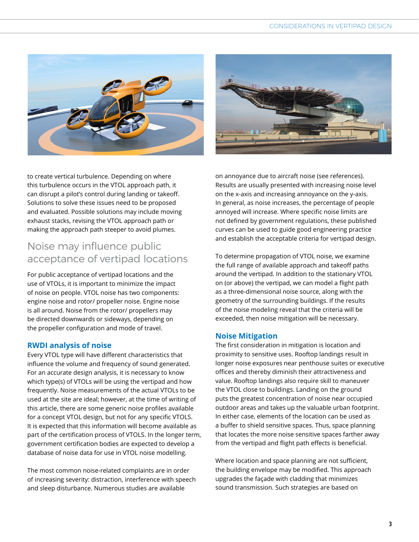



to create vertical turbulence. Depending on where this turbulence occurs in the VTOL approach path, it can disrupt a pilot's control during landing or takeoff. Solutions to solve these issues need to be proposed and evaluated. Possible solutions may include moving exhaust stacks, revising the VTOL approach path or making the approach path steeper to avoid plumes.

# Noise may influence public acceptance of vertipad locations

For public acceptance of vertipad locations and the use of VTOLs, it is important to minimize the impact of noise on people. VTOL noise has two components: engine noise and rotor/ propeller noise. Engine noise is all around. Noise from the rotor/ propellers may be directed downwards or sideways, depending on the propeller configuration and mode of travel.

#### **RWDI analysis of noise**

Every VTOL type will have different characteristics that influence the volume and frequency of sound generated. For an accurate design analysis, it is necessary to know which type(s) of VTOLs will be using the vertipad and how frequently. Noise measurements of the actual VTOLs to be used at the site are ideal; however, at the time of writing of this article, there are some generic noise profiles available for a concept VTOL design, but not for any specific VTOLS. It is expected that this information will become available as part of the certification process of VTOLS. In the longer term, government certification bodies are expected to develop a database of noise data for use in VTOL noise modelling.

The most common noise-related complaints are in order of increasing severity: distraction, interference with speech and sleep disturbance. Numerous studies are available

on annoyance due to aircraft noise (see references). Results are usually presented with increasing noise level on the x-axis and increasing annoyance on the y-axis. In general, as noise increases, the percentage of people annoyed will increase. Where specific noise limits are not defined by government regulations, these published curves can be used to guide good engineering practice and establish the acceptable criteria for vertipad design.

To determine propagation of VTOL noise, we examine the full range of available approach and takeoff paths around the vertipad. In addition to the stationary VTOL on (or above) the vertipad, we can model a flight path as a three-dimensional noise source, along with the geometry of the surrounding buildings. If the results of the noise modeling reveal that the criteria will be exceeded, then noise mitigation will be necessary.

#### **Noise Mitigation**

The first consideration in mitigation is location and proximity to sensitive uses. Rooftop landings result in longer noise exposures near penthouse suites or executive offices and thereby diminish their attractiveness and value. Rooftop landings also require skill to maneuver the VTOL close to buildings. Landing on the ground puts the greatest concentration of noise near occupied outdoor areas and takes up the valuable urban footprint. In either case, elements of the location can be used as a buffer to shield sensitive spaces. Thus, space planning that locates the more noise sensitive spaces farther away from the vertipad and flight path effects is beneficial.

Where location and space planning are not sufficient, the building envelope may be modified. This approach upgrades the façade with cladding that minimizes sound transmission. Such strategies are based on